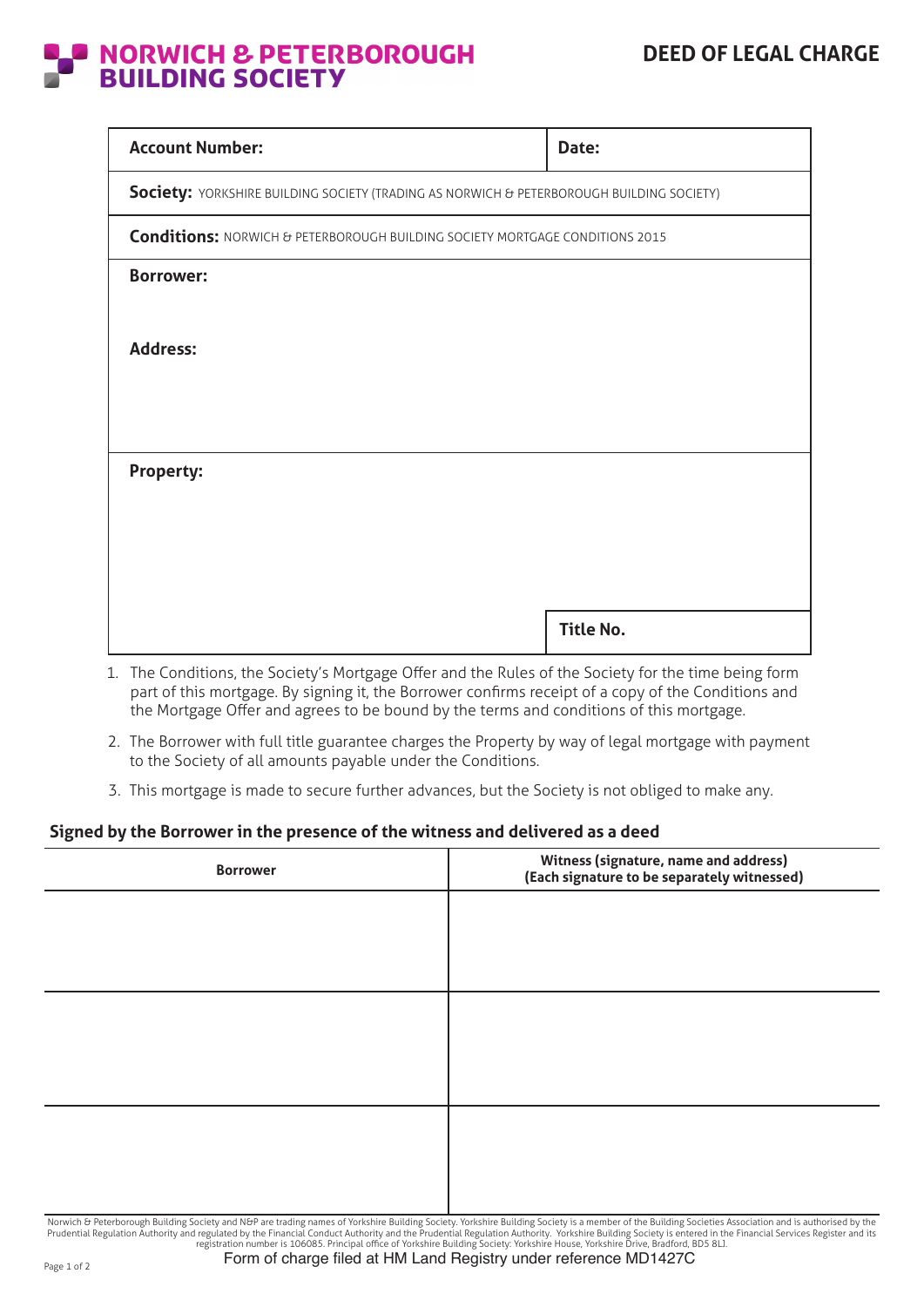## **NORWICH & PETERBOROUGH<br>BUILDING SOCIETY**

| Date:                                                                                    |  |  |  |  |
|------------------------------------------------------------------------------------------|--|--|--|--|
| Society: YORKSHIRE BUILDING SOCIETY (TRADING AS NORWICH & PETERBOROUGH BUILDING SOCIETY) |  |  |  |  |
| <b>Conditions:</b> NORWICH & PETERBOROUGH BUILDING SOCIETY MORTGAGE CONDITIONS 2015      |  |  |  |  |
|                                                                                          |  |  |  |  |
|                                                                                          |  |  |  |  |
|                                                                                          |  |  |  |  |
|                                                                                          |  |  |  |  |
|                                                                                          |  |  |  |  |
| <b>Title No.</b>                                                                         |  |  |  |  |
|                                                                                          |  |  |  |  |

- 1. The Conditions, the Society's Mortgage Offer and the Rules of the Society for the time being form part of this mortgage. By signing it, the Borrower confirms receipt of a copy of the Conditions and the Mortgage Offer and agrees to be bound by the terms and conditions of this mortgage.
- 2. The Borrower with full title guarantee charges the Property by way of legal mortgage with payment to the Society of all amounts payable under the Conditions.
- 3. This mortgage is made to secure further advances, but the Society is not obliged to make any.

## **Signed by the Borrower in the presence of the witness and delivered as a deed**

| <b>Borrower</b> | Witness (signature, name and address)<br>(Each signature to be separately witnessed) |
|-----------------|--------------------------------------------------------------------------------------|
|                 |                                                                                      |
|                 |                                                                                      |
|                 |                                                                                      |
|                 |                                                                                      |
|                 |                                                                                      |
|                 |                                                                                      |

Norwich & Peterborough Building Society and N&P are trading names of Yorkshire Building Society. Yorkshire Building Society is a member of the Building Societies Association and is authorised by the<br>Prudential Regulation A Form of charge filed at HM Land Registry under reference MD1427C